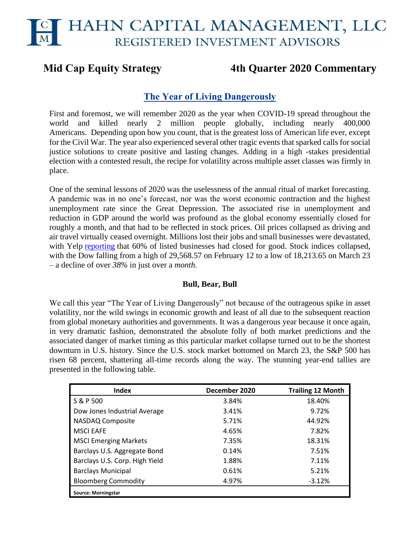# **Mid Cap Equity Strategy 4th Quarter 2020 Commentary**

# **The Year of Living Dangerously**

First and foremost, we will remember 2020 as the year when COVID-19 spread throughout the world and killed nearly 2 million people globally, including nearly 400,000 Americans. Depending upon how you count, that is the greatest loss of American life ever, except for the Civil War. The year also experienced several other tragic events that sparked calls for social justice solutions to create positive and lasting changes. Adding in a high -stakes presidential election with a contested result, the recipe for volatility across multiple asset classes was firmly in place.

One of the seminal lessons of 2020 was the uselessness of the annual ritual of market forecasting. A pandemic was in no one's forecast, nor was the worst economic contraction and the highest unemployment rate since the Great Depression. The associated rise in unemployment and reduction in GDP around the world was profound as the global economy essentially closed for roughly a month, and that had to be reflected in stock prices. Oil prices collapsed as driving and air travel virtually ceased overnight. Millions lost their jobs and small businesses were devastated, with Yelp [reporting](https://www.cnbc.com/2020/09/16/yelp-data-shows-60percent-of-business-closures-due-to-the-coronavirus-pandemic-are-now-permanent.html) that 60% of listed businesses had closed for good. Stock indices collapsed, with the Dow falling from a high of 29,568.57 on February 12 to a low of 18,213.65 on March 23 – a decline of over *38%* in just over a *month*.

# **Bull, Bear, Bull**

We call this year "The Year of Living Dangerously" not because of the outrageous spike in asset volatility, nor the wild swings in economic growth and least of all due to the subsequent reaction from global monetary authorities and governments. It was a dangerous year because it once again, in very dramatic fashion, demonstrated the absolute folly of both market predictions and the associated danger of market timing as this particular market collapse turned out to be the shortest downturn in U.S. history. Since the U.S. stock market bottomed on March 23, the S&P 500 has risen 68 percent, shattering all-time records along the way. The stunning year-end tallies are presented in the following table.

| <b>Index</b>                   | December 2020 | <b>Trailing 12 Month</b> |  |  |
|--------------------------------|---------------|--------------------------|--|--|
| S & P 500                      | 3.84%         | 18.40%                   |  |  |
| Dow Jones Industrial Average   | 3.41%         | 9.72%                    |  |  |
| NASDAQ Composite               | 5.71%         | 44.92%                   |  |  |
| <b>MSCI EAFE</b>               | 4.65%         | 7.82%                    |  |  |
| <b>MSCI Emerging Markets</b>   | 7.35%         | 18.31%                   |  |  |
| Barclays U.S. Aggregate Bond   | 0.14%         | 7.51%                    |  |  |
| Barclays U.S. Corp. High Yield | 1.88%         | 7.11%                    |  |  |
| <b>Barclays Municipal</b>      | 0.61%         | 5.21%                    |  |  |
| <b>Bloomberg Commodity</b>     | 4.97%         | $-3.12%$                 |  |  |
| <b>Source: Morningstar</b>     |               |                          |  |  |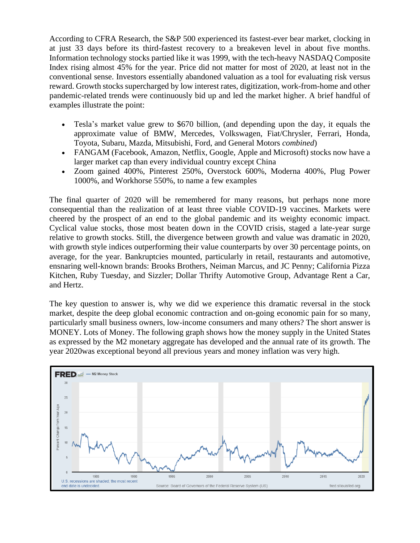According to CFRA Research, the S&P 500 experienced its fastest-ever bear market, clocking in at just 33 days before its third-fastest recovery to a breakeven level in about five months. Information technology stocks partied like it was 1999, with the tech-heavy NASDAQ Composite Index rising almost 45% for the year. Price did not matter for most of 2020, at least not in the conventional sense. Investors essentially abandoned valuation as a tool for evaluating risk versus reward. Growth stocks supercharged by low interest rates, digitization, work-from-home and other pandemic-related trends were continuously bid up and led the market higher. A brief handful of examples illustrate the point:

- Tesla's market value grew to \$670 billion, (and depending upon the day, it equals the approximate value of BMW, Mercedes, Volkswagen, Fiat/Chrysler, Ferrari, Honda, Toyota, Subaru, Mazda, Mitsubishi, Ford, and General Motors *combined*)
- FANGAM (Facebook, Amazon, Netflix, Google, Apple and Microsoft) stocks now have a larger market cap than every individual country except China
- Zoom gained 400%, Pinterest 250%, Overstock 600%, Moderna 400%, Plug Power 1000%, and Workhorse 550%, to name a few examples

The final quarter of 2020 will be remembered for many reasons, but perhaps none more consequential than the realization of at least three viable COVID-19 vaccines. Markets were cheered by the prospect of an end to the global pandemic and its weighty economic impact. Cyclical value stocks, those most beaten down in the COVID crisis, staged a late-year surge relative to growth stocks. Still, the divergence between growth and value was dramatic in 2020, with growth style indices outperforming their value counterparts by over 30 percentage points, on average, for the year. Bankruptcies mounted, particularly in retail, restaurants and automotive, ensnaring well-known brands: Brooks Brothers, Neiman Marcus, and JC Penny; California Pizza Kitchen, Ruby Tuesday, and Sizzler; Dollar Thrifty Automotive Group, Advantage Rent a Car, and Hertz.

The key question to answer is, why we did we experience this dramatic reversal in the stock market, despite the deep global economic contraction and on-going economic pain for so many, particularly small business owners, low-income consumers and many others? The short answer is MONEY. Lots of Money. The following graph shows how the money supply in the United States as expressed by the M2 monetary aggregate has developed and the annual rate of its growth. The year 2020was exceptional beyond all previous years and money inflation was very high.

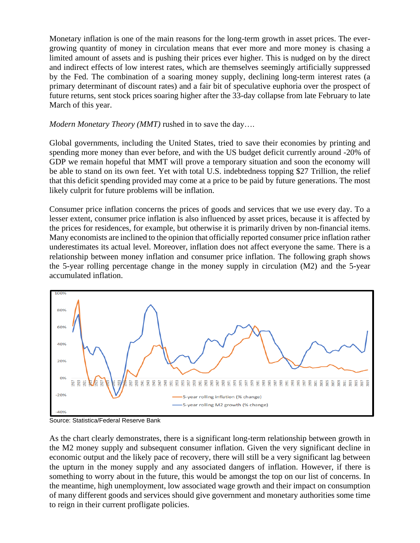Monetary inflation is one of the main reasons for the long-term growth in asset prices. The evergrowing quantity of money in circulation means that ever more and more money is chasing a limited amount of assets and is pushing their prices ever higher. This is nudged on by the direct and indirect effects of low interest rates, which are themselves seemingly artificially suppressed by the Fed. The combination of a soaring money supply, declining long-term interest rates (a primary determinant of discount rates) and a fair bit of speculative euphoria over the prospect of future returns, sent stock prices soaring higher after the 33-day collapse from late February to late March of this year.

# *Modern Monetary Theory (MMT)* rushed in to save the day….

Global governments, including the United States, tried to save their economies by printing and spending more money than ever before, and with the US budget deficit currently around -20% of GDP we remain hopeful that MMT will prove a temporary situation and soon the economy will be able to stand on its own feet. Yet with total U.S. indebtedness topping \$27 Trillion, the relief that this deficit spending provided may come at a price to be paid by future generations. The most likely culprit for future problems will be inflation.

Consumer price inflation concerns the prices of goods and services that we use every day. To a lesser extent, consumer price inflation is also influenced by asset prices, because it is affected by the prices for residences, for example, but otherwise it is primarily driven by non-financial items. Many economists are inclined to the opinion that officially reported consumer price inflation rather underestimates its actual level. Moreover, inflation does not affect everyone the same. There is a relationship between money inflation and consumer price inflation. The following graph shows the 5-year rolling percentage change in the money supply in circulation (M2) and the 5-year accumulated inflation.



Source: Statistica/Federal Reserve Bank

As the chart clearly demonstrates, there is a significant long-term relationship between growth in the M2 money supply and subsequent consumer inflation. Given the very significant decline in economic output and the likely pace of recovery, there will still be a very significant lag between the upturn in the money supply and any associated dangers of inflation. However, if there is something to worry about in the future, this would be amongst the top on our list of concerns. In the meantime, high unemployment, low associated wage growth and their impact on consumption of many different goods and services should give government and monetary authorities some time to reign in their current profligate policies.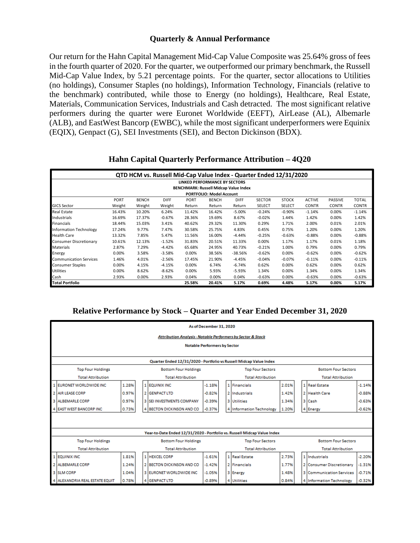# **Quarterly & Annual Performance**

Our return for the Hahn Capital Management Mid-Cap Value Composite was 25.64% gross of fees in the fourth quarter of 2020. For the quarter, we outperformed our primary benchmark, the Russell Mid-Cap Value Index, by 5.21 percentage points. For the quarter, sector allocations to Utilities (no holdings), Consumer Staples (no holdings), Information Technology, Financials (relative to the benchmark) contributed, while those to Energy (no holdings), Healthcare, Real Estate, Materials, Communication Services, Industrials and Cash detracted. The most significant relative performers during the quarter were Euronet Worldwide (EEFT), AirLease (AL), Albemarle (ALB), and EastWest Bancorp (EWBC), while the most significant underperformers were Equinix (EQIX), Genpact (G), SEI Investments (SEI), and Becton Dickinson (BDX).

| QTD HCM vs. Russell Mid-Cap Value Index - Quarter Ended 12/31/2020 |             |              |             |             |              |             |               |               |               |                |              |
|--------------------------------------------------------------------|-------------|--------------|-------------|-------------|--------------|-------------|---------------|---------------|---------------|----------------|--------------|
| LINKED PERFORMANCE BY SECTORS                                      |             |              |             |             |              |             |               |               |               |                |              |
| <b>BENCHMARK: Russell Midcap Value Index</b>                       |             |              |             |             |              |             |               |               |               |                |              |
| <b>PORTFOLIO: Model Account</b>                                    |             |              |             |             |              |             |               |               |               |                |              |
|                                                                    | <b>PORT</b> | <b>BENCH</b> | <b>DIFF</b> | <b>PORT</b> | <b>BENCH</b> | <b>DIFF</b> | <b>SECTOR</b> | <b>STOCK</b>  | <b>ACTIVE</b> | <b>PASSIVE</b> | <b>TOTAL</b> |
| <b>GICS Sector</b>                                                 | Weight      | Weight       | Weight      | Return      | Return       | Return      | SELECT        | <b>SELECT</b> | <b>CONTR</b>  | <b>CONTR</b>   | <b>CONTR</b> |
| Real Estate                                                        | 16.43%      | 10.20%       | 6.24%       | 11.42%      | 16.42%       | $-5.00%$    | $-0.24%$      | $-0.90%$      | $-1.14%$      | 0.00%          | $-1.14%$     |
| Industrials                                                        | 16.69%      | 17.37%       | $-0.67%$    | 28.36%      | 19.69%       | 8.67%       | $-0.02%$      | 1.44%         | 1.42%         | 0.00%          | 1.42%        |
| Financials                                                         | 18.44%      | 15.03%       | 3.41%       | 40.62%      | 29.32%       | 11.30%      | 0.29%         | 1.71%         | 2.00%         | 0.01%          | 2.01%        |
| <b>Information Technology</b>                                      | 17.24%      | 9.77%        | 7.47%       | 30.58%      | 25.75%       | 4.83%       | 0.45%         | 0.75%         | 1.20%         | 0.00%          | 1.20%        |
| <b>Health Care</b>                                                 | 13.32%      | 7.85%        | 5.47%       | 11.56%      | 16.00%       | $-4.44%$    | $-0.25%$      | $-0.63%$      | $-0.88%$      | 0.00%          | $-0.88%$     |
| Consumer Discretionary                                             | 10.61%      | 12.13%       | $-1.52%$    | 31.83%      | 20.51%       | 11.33%      | 0.00%         | 1.17%         | 1.17%         | 0.01%          | 1.18%        |
| Materials                                                          | 2.87%       | 7.29%        | $-4.42%$    | 65.68%      | 24.95%       | 40.73%      | $-0.21%$      | 1.00%         | 0.79%         | 0.00%          | 0.79%        |
| Energy                                                             | 0.00%       | 3.58%        | $-3.58%$    | 0.00%       | 38.56%       | $-38.56%$   | $-0.62%$      | 0.00%         | $-0.62%$      | 0.00%          | $-0.62%$     |
| Communication Services                                             | 1.46%       | 4.01%        | $-2.56%$    | 17.45%      | 21.90%       | $-4.45%$    | $-0.04%$      | $-0.07%$      | $-0.11%$      | 0.00%          | $-0.11%$     |
| <b>Consumer Staples</b>                                            | 0.00%       | 4.15%        | $-4.15%$    | 0.00%       | 6.74%        | $-6.74%$    | 0.62%         | 0.00%         | 0.62%         | 0.00%          | 0.62%        |
| Utilities                                                          | 0.00%       | 8.62%        | $-8.62%$    | 0.00%       | 5.93%        | $-5.93%$    | 1.34%         | 0.00%         | 1.34%         | 0.00%          | 1.34%        |
| Cash                                                               | 2.93%       | 0.00%        | 2.93%       | 0.04%       | 0.00%        | 0.04%       | $-0.63%$      | 0.00%         | $-0.63%$      | 0.00%          | $-0.63%$     |
| <b>Total Portfolio</b>                                             |             |              |             | 25.58%      | 20.41%       | 5.17%       | 0.69%         | 4.48%         | 5.17%         | 0.00%          | 5.17%        |

# **Hahn Capital Quarterly Performance Attribution – 4Q20**

# **Relative Performance by Stock – Quarter and Year Ended December 31, 2020**

| As of December 31, 2020                                                                                          |       |                                                                    |                                                                          |          |  |                          |       |  |                            |          |  |  |
|------------------------------------------------------------------------------------------------------------------|-------|--------------------------------------------------------------------|--------------------------------------------------------------------------|----------|--|--------------------------|-------|--|----------------------------|----------|--|--|
| <b>Attribution Analysis - Notable Performers by Sector &amp; Stock</b>                                           |       |                                                                    |                                                                          |          |  |                          |       |  |                            |          |  |  |
| <b>Notable Performers by Sector</b>                                                                              |       |                                                                    |                                                                          |          |  |                          |       |  |                            |          |  |  |
|                                                                                                                  |       |                                                                    |                                                                          |          |  |                          |       |  |                            |          |  |  |
|                                                                                                                  |       |                                                                    | Quarter Ended 12/31/2020 - Portfolio vs Russell Midcap Value Index       |          |  |                          |       |  |                            |          |  |  |
| <b>Bottom Four Sectors</b><br><b>Top Four Holdings</b><br><b>Bottom Four Holdings</b><br><b>Top Four Sectors</b> |       |                                                                    |                                                                          |          |  |                          |       |  |                            |          |  |  |
| <b>Total Attribution</b>                                                                                         |       |                                                                    | <b>Total Attribution</b>                                                 |          |  | <b>Total Attribution</b> |       |  | <b>Total Attribution</b>   |          |  |  |
| 1 EURONET WORLDWIDE INC.                                                                                         | 1.28% |                                                                    | 1 EQUINIX INC.                                                           | $-1.18%$ |  | 1 Financials             | 2.01% |  | 1 Real Estate              | $-1.14%$ |  |  |
| 2 AIR LEASE CORP                                                                                                 | 0.97% |                                                                    | 2 GENPACT LTD                                                            | $-0.82%$ |  | 2 Industrials            | 1.42% |  | 2 Health Care              | $-0.88%$ |  |  |
| 3 ALBEMARLE CORP                                                                                                 | 0.97% |                                                                    | 3 SELINVESTMENTS COMPANY                                                 | $-0.39%$ |  | 3 Utilities              | 1.34% |  | 3 Cash                     | $-0.63%$ |  |  |
| 4 EAST WEST BANCORP INC                                                                                          | 0.73% | 4 BECTON DICKINSON AND CO.<br>$-0.37%$<br>4 Information Technology |                                                                          |          |  |                          | 1.20% |  | 4 Energy                   | $-0.62%$ |  |  |
|                                                                                                                  |       |                                                                    |                                                                          |          |  |                          |       |  |                            |          |  |  |
|                                                                                                                  |       |                                                                    |                                                                          |          |  |                          |       |  |                            |          |  |  |
|                                                                                                                  |       |                                                                    | Year-to-Date Ended 12/31/2020 - Portfolio vs. Russell Midcap Value Index |          |  |                          |       |  |                            |          |  |  |
| <b>Top Four Holdings</b>                                                                                         |       |                                                                    | <b>Bottom Four Holdings</b>                                              |          |  | <b>Top Four Sectors</b>  |       |  | <b>Bottom Four Sectors</b> |          |  |  |
| <b>Total Attribution</b>                                                                                         |       |                                                                    | <b>Total Attribution</b>                                                 |          |  | <b>Total Attribution</b> |       |  | <b>Total Attribution</b>   |          |  |  |
| 1 EQUINIX INC                                                                                                    | 1.81% |                                                                    | 1 HEXCEL CORP                                                            | $-1.61%$ |  | 1 Real Estate            | 2.73% |  | 1 Industrials              | $-2.20%$ |  |  |
| 2 ALBEMARLE CORP                                                                                                 | 1.24% |                                                                    | 2 BECTON DICKINSON AND CO                                                | $-1.42%$ |  | 2 Financials             | 1.77% |  | 2 Consumer Discretionary   | $-1.31%$ |  |  |
| 3 SLM CORP                                                                                                       | 1.04% |                                                                    | 3 EURONET WORLDWIDE INC.                                                 | $-1.05%$ |  | 3 Energy                 | 1.48% |  | 3 Communication Services   | $-0.71%$ |  |  |
| 4 ALEXANDRIA REAL ESTATE EQUIT                                                                                   | 0.78% |                                                                    | 4 GENPACT LTD                                                            | $-0.89%$ |  | 4 Utilities              | 0.84% |  | 4 Information Technology   | $-0.32%$ |  |  |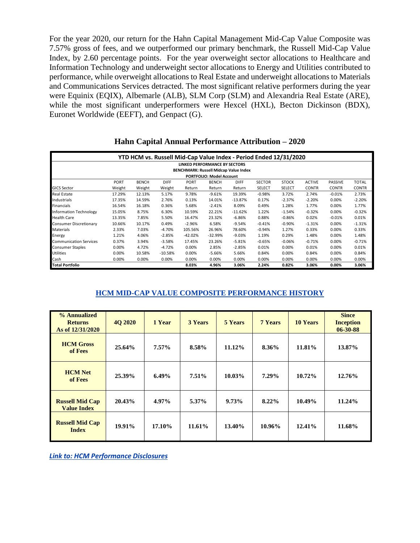For the year 2020, our return for the Hahn Capital Management Mid-Cap Value Composite was 7.57% gross of fees, and we outperformed our primary benchmark, the Russell Mid-Cap Value Index, by 2.60 percentage points. For the year overweight sector allocations to Healthcare and Information Technology and underweight sector allocations to Energy and Utilities contributed to performance, while overweight allocations to Real Estate and underweight allocations to Materials and Communications Services detracted. The most significant relative performers during the year were Equinix (EQIX), Albemarle (ALB), SLM Corp (SLM) and Alexandria Real Estate (ARE), while the most significant underperformers were Hexcel (HXL), Becton Dickinson (BDX), Euronet Worldwide (EEFT), and Genpact (G).

| YTD HCM vs. Russell Mid-Cap Value Index - Period Ended 12/31/2020 |        |              |             |             |              |             |               |               |               |                |              |  |
|-------------------------------------------------------------------|--------|--------------|-------------|-------------|--------------|-------------|---------------|---------------|---------------|----------------|--------------|--|
| LINKED PERFORMANCE BY SECTORS                                     |        |              |             |             |              |             |               |               |               |                |              |  |
| <b>BENCHMARK: Russell Midcap Value Index</b>                      |        |              |             |             |              |             |               |               |               |                |              |  |
| <b>PORTFOLIO: Model Account</b>                                   |        |              |             |             |              |             |               |               |               |                |              |  |
|                                                                   | PORT   | <b>BENCH</b> | <b>DIFF</b> | <b>PORT</b> | <b>BENCH</b> | <b>DIFF</b> | <b>SECTOR</b> | <b>STOCK</b>  | <b>ACTIVE</b> | <b>PASSIVE</b> | <b>TOTAL</b> |  |
| <b>GICS Sector</b>                                                | Weight | Weight       | Weight      | Return      | Return       | Return      | SELECT        | <b>SELECT</b> | <b>CONTR</b>  | <b>CONTR</b>   | <b>CONTR</b> |  |
| <b>Real Estate</b>                                                | 17.29% | 12.13%       | 5.17%       | 9.78%       | $-9.61%$     | 19.39%      | $-0.98%$      | 3.72%         | 2.74%         | $-0.01%$       | 2.73%        |  |
| Industrials                                                       | 17.35% | 14.59%       | 2.76%       | 0.13%       | 14.01%       | $-13.87%$   | 0.17%         | $-2.37%$      | $-2.20%$      | 0.00%          | $-2.20%$     |  |
| <b>Financials</b>                                                 | 16.54% | 16.18%       | 0.36%       | 5.68%       | $-2.41%$     | 8.09%       | 0.49%         | 1.28%         | 1.77%         | 0.00%          | 1.77%        |  |
| <b>Information Technology</b>                                     | 15.05% | 8.75%        | 6.30%       | 10.59%      | 22.21%       | $-11.62%$   | 1.22%         | $-1.54%$      | $-0.32%$      | 0.00%          | $-0.32%$     |  |
| <b>Health Care</b>                                                | 13.35% | 7.85%        | 5.50%       | 16.47%      | 23.32%       | $-6.86%$    | 0.88%         | $-0.86%$      | 0.02%         | $-0.01%$       | 0.01%        |  |
| <b>Consumer Discretionary</b>                                     | 10.66% | 10.17%       | 0.49%       | $-2.96%$    | 6.58%        | $-9.54%$    | $-0.41%$      | $-0.90%$      | $-1.31%$      | 0.00%          | $-1.31%$     |  |
| Materials                                                         | 2.33%  | 7.03%        | $-4.70%$    | 105.56%     | 26.96%       | 78.60%      | $-0.94%$      | 1.27%         | 0.33%         | 0.00%          | 0.33%        |  |
| Energy                                                            | 1.21%  | 4.06%        | $-2.85%$    | $-42.02%$   | $-32.99%$    | $-9.03%$    | 1.19%         | 0.29%         | 1.48%         | 0.00%          | 1.48%        |  |
| <b>Communication Services</b>                                     | 0.37%  | 3.94%        | $-3.58%$    | 17.45%      | 23.26%       | $-5.81%$    | $-0.65%$      | $-0.06%$      | $-0.71%$      | 0.00%          | $-0.71%$     |  |
| <b>Consumer Staples</b>                                           | 0.00%  | 4.72%        | $-4.72%$    | 0.00%       | 2.85%        | $-2.85%$    | 0.01%         | 0.00%         | 0.01%         | 0.00%          | 0.01%        |  |
| <b>Utilities</b>                                                  | 0.00%  | 10.58%       | $-10.58%$   | 0.00%       | $-5.66%$     | 5.66%       | 0.84%         | 0.00%         | 0.84%         | 0.00%          | 0.84%        |  |
| Cash                                                              | 0.00%  | 0.00%        | 0.00%       | 0.00%       | 0.00%        | 0.00%       | 0.00%         | 0.00%         | 0.00%         | 0.00%          | 0.00%        |  |
| <b>Total Portfolio</b>                                            |        |              |             | 8.03%       | 4.96%        | 3.06%       | 2.24%         | 0.82%         | 3.06%         | 0.00%          | 3.06%        |  |

# **Hahn Capital Annual Performance Attribution – 2020**

# **HCM MID-CAP VALUE COMPOSITE PERFORMANCE HISTORY**

| % Annualized<br><b>Returns</b><br>As of 12/31/2020 | <b>40 2020</b> | 1 Year   | <b>3 Years</b> | <b>5 Years</b> | <b>7 Years</b> | <b>10 Years</b> | <b>Since</b><br><b>Inception</b><br>$06 - 30 - 88$ |
|----------------------------------------------------|----------------|----------|----------------|----------------|----------------|-----------------|----------------------------------------------------|
| <b>HCM</b> Gross<br>of Fees                        | $25.64\%$      | $7.57\%$ | 8.58%          | 11.12%         | 8.36%          | 11.81%          | 13.87%                                             |
| <b>HCM</b> Net<br>of Fees                          | 25.39%         | 6.49%    | $7.51\%$       | 10.03%         | $7.29\%$       | 10.72%          | 12.76%                                             |
| <b>Russell Mid Cap</b><br><b>Value Index</b>       | 20.43%         | 4.97%    | 5.37%          | 9.73%          | 8.22%          | 10.49%          | 11.24%                                             |
| <b>Russell Mid Cap</b><br><b>Index</b>             | $19.91\%$      | 17.10%   | 11.61%         | 13.40%         | 10.96%         | 12.41%          | 11.68%                                             |

*[Link to: HCM Performance Disclosures](https://img1.wsimg.com/blobby/go/c17b70fa-11ea-4e3b-9a08-77e0dd611618/downloads/Hahn_Performance_Disclosure.pdf?ver=1611330563060)*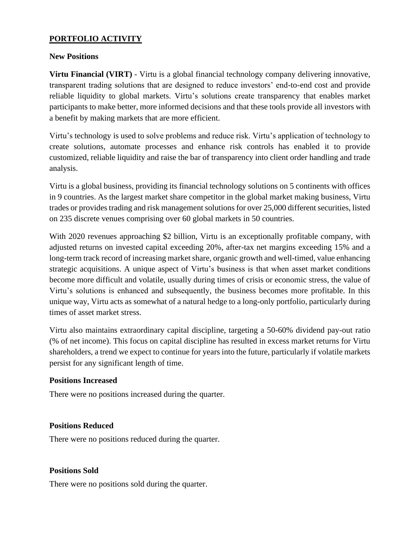# **PORTFOLIO ACTIVITY**

# **New Positions**

**Virtu Financial (VIRT)** - Virtu is a global financial technology company delivering innovative, transparent trading solutions that are designed to reduce investors' end-to-end cost and provide reliable liquidity to global markets. Virtu's solutions create transparency that enables market participants to make better, more informed decisions and that these tools provide all investors with a benefit by making markets that are more efficient.

Virtu's technology is used to solve problems and reduce risk. Virtu's application of technology to create solutions, automate processes and enhance risk controls has enabled it to provide customized, reliable liquidity and raise the bar of transparency into client order handling and trade analysis.

Virtu is a global business, providing its financial technology solutions on 5 continents with offices in 9 countries. As the largest market share competitor in the global market making business, Virtu trades or provides trading and risk management solutions for over 25,000 different securities, listed on 235 discrete venues comprising over 60 global markets in 50 countries.

With 2020 revenues approaching \$2 billion, Virtu is an exceptionally profitable company, with adjusted returns on invested capital exceeding 20%, after-tax net margins exceeding 15% and a long-term track record of increasing market share, organic growth and well-timed, value enhancing strategic acquisitions. A unique aspect of Virtu's business is that when asset market conditions become more difficult and volatile, usually during times of crisis or economic stress, the value of Virtu's solutions is enhanced and subsequently, the business becomes more profitable. In this unique way, Virtu acts as somewhat of a natural hedge to a long-only portfolio, particularly during times of asset market stress.

Virtu also maintains extraordinary capital discipline, targeting a 50-60% dividend pay-out ratio (% of net income). This focus on capital discipline has resulted in excess market returns for Virtu shareholders, a trend we expect to continue for years into the future, particularly if volatile markets persist for any significant length of time.

# **Positions Increased**

There were no positions increased during the quarter.

# **Positions Reduced**

There were no positions reduced during the quarter.

# **Positions Sold**

There were no positions sold during the quarter.